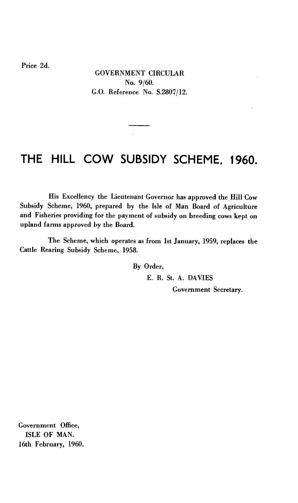Price 2d.

GOVERNMENT CIRCULAR No. 9/60. G.O. Reference No. S.2807/12.

## **THE HILL COW SUBSIDY SCHEME, 1960.**

 $\mathcal{L}$ 

His Excellency the Lieutenant Governor has approved the Hill Cow Subsidy Scheme, 1960, prepared by the Isle of Man Board of Agriculture and Fisheries providing for the payment of subsidy on breeding cows kept on upland farms approved by the Board.

The Scheme, which operates as from 1st January, 1959, replaces the Cattle Rearing Subsidy Scheme, 1958.

By Order,

E. R. St. A. DAVIES

Government Secretary.

Government Office, ISLE OF MAN. 16th February, 1960.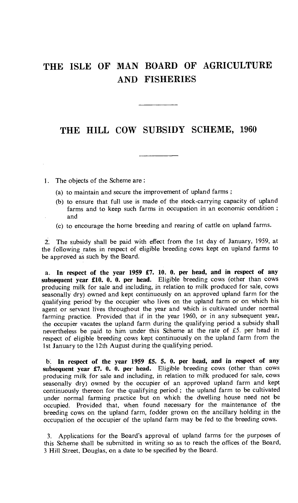## **THE ISLE OF MAN BOARD OF AGRICULTURE AND FISHERIES**

## **THE HILL COW SUBSIDY SCHEME, 1960**

- 1. The objects of the Scheme are :
	- (a) to maintain and secure the improvement of upland farms ;
	- (b) to ensure that full use is made of the stock-carrying capacity of upland farms and to keep such farms in occupation in an economic condition ; and
	- (c) to encourage the home breeding and rearing of cattle on upland farms.

2. The subsidy shall be paid with effect from the 1st day of January, 1959, at the following rates in respect of eligible breeding cows kept on upland farms to be approved as such by the Board.

a. **In respect of the year 1959 £7. 10. 0. per head, and in respect of any subsequent year £10. 0. 0. per head.** Eligible breeding cows (other than cows producing milk for sale and including, in relation to milk produced for sale, cows seasonally dry) owned and kept continuously on an approved upland farm for the qualifying period' by the occupier who lives on the upland farm or on which his agent or servant lives throughout the year and which is cultivated under normal farming practice. Provided that if in the year 1960, or in any subsequent year, the occupier vacates the upland farm during the qualifying period a subsidy shall nevertheless be paid to him under this Scheme at the rate of £5. per head in respect of eligible breeding cows kept continuously on the upland farm from the 1st January to the 12th August during the qualifying period.

<sup>13</sup>**In respect of the year 1959 £5. 5. 0. per head, and in respect of any subsequent year £7. 0. 0. per head.** Eligible breeding cows (other than cows producing milk for sale and including, in relation to milk produced for sale, cows seasonally dry) owned by the occupier of an approved upland farm and kept continuously thereon for the qualifying period ; the upland farm to be cultivated under normal farming practice but on which the dwelling house need not be occupied. Provided that, when found necessary for the maintenance of the breeding cows on the upland farm, fodder grown on the ancillary holding in the occupation of the occupier of the upland farm may be fed to the breeding cows.

3. Applications for the Board's approval of upland farms for the purposes of this Scheme shall be submitted in writing so as to reach the offices of the Board, 3 Hill Street, Douglas, on a date to be specified by the Board.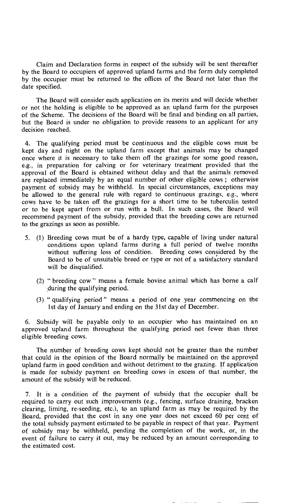Claim and Declaration forms in respect of the subsidy will be sent thereafter by the Board to occupiers of approved upland farms and the form duly completed by the occupier must be returned to the offices of the Board not later than the date specified.

The Board will consider each application on its merits and will decide whether or not the holding is eligible to be approved as an upland farm for the purposes of the Scheme. The decisions of the Board will be final and binding on all parties, but the Board is under no obligation to provide reasons to an applicant for any decision reached.

4. The qualifying period must be continuous and the eligible cows must be kept day and night on the upland farm except that animals may be changed once where it is necessary to take them off the grazings for some good reason, e.g., in preparation for calving or for veterinary treatment provided that the approval of the Board is obtained without delay and that the animals removed are replaced immediately by an equal number of other eligible cows ; otherwise payment of subsidy may be withheld. In special circumstances, exceptions may be allowed to the general rule with regard to continuous grazings, e.g., where cows have to be taken off the grazings for a short time to be tuberculin tested or to be kept apart from or run with a bull. In such cases, the Board will recommend payment of the subsidy, provided that the breeding cows are returned to the grazings as soon as possible.

- 5. (1) Breeding cows must be of a hardy type, capable of living under natural conditions upon upland farms during a full period of twelve months without suffering loss of condition. Breeding cows considered by the Board to be of unsuitable breed or type or not of a satisfactory standard will be disqualified.
	- (2) " breeding cow " means a female bovine animal which has borne a calf during the qualifying period.
	- (3) " qualifying period " means a period of one year commencing on the 1st day of January and ending on the 31st day of December.

6. Subsidy will be payable only to an occupier who has maintained on an approved upland farm throughout the qualifying period not fewer than three eligible breeding cows.

The number of breeding cows kept should not be greater than the number that could in the opinion of the Board normally be maintained on the approved upland farm in good condition and without detriment to the grazing. If application is made for subsidy payment on breeding cows in excess of that number, the amount of the subsidy will be reduced.

7. It is a condition of the payment of subsidy that the occupier shall be required to carry out such improvements (e.g., fencing, surface draining, bracken clearing, liming, re-seeding, etc.), to an upland farm as may be required by the Board, provided that the cost in any one year does not exceed 60 per cent of the total subsidy payment estimated to be payable in respect of that year. Payment of subsidy may be withheld, pending the completion of the work, or, in the event of failure to carry it out, may be reduced by an amount corresponding to the estimated cost.